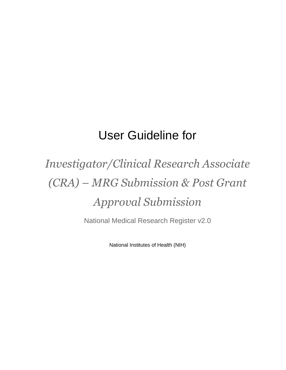# User Guideline for

# *Investigator/Clinical Research Associate (CRA) – MRG Submission & Post Grant Approval Submission*

National Medical Research Register v2.0

National Institutes of Health (NIH)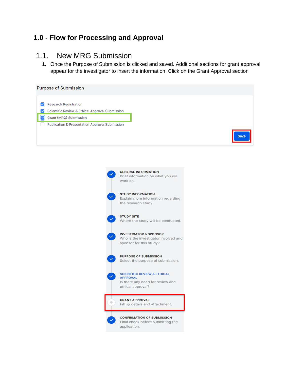#### **1.0 - Flow for Processing and Approval**

#### 1.1. New MRG Submission

1. Once the Purpose of Submission is clicked and saved. Additional sections for grant approval appear for the investigator to insert the information. Click on the Grant Approval section

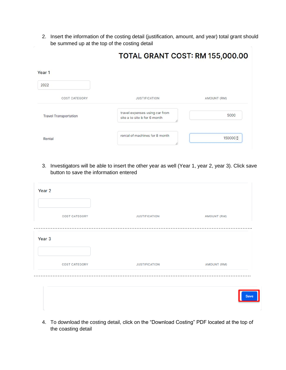2. Insert the information of the costing detail (justification, amount, and year) total grant should be summed up at the top of the costing detail

|                              | <b>IVIAL ORAINI COST. RIVI 199,000.00</b>                      |             |
|------------------------------|----------------------------------------------------------------|-------------|
| Year 1                       |                                                                |             |
| 2022                         |                                                                |             |
| <b>COST CATEGORY</b>         | <b>JUSTIFICATION</b>                                           | AMOUNT (RM) |
| <b>Travel Transportation</b> | travel expenses using car from<br>site a to site b for 6 month | 5000        |
| Rental                       | rental of machines for 8 month                                 | 150000 ≑    |

# TOTAL GRANT COST: RM 155 000 00

3. Investigators will be able to insert the other year as well (Year 1, year 2, year 3). Click save button to save the information entered

| Year <sub>2</sub>    |                      |                    |
|----------------------|----------------------|--------------------|
| <b>COST CATEGORY</b> | <b>JUSTIFICATION</b> | <b>AMOUNT (RM)</b> |
| Year <sub>3</sub>    |                      |                    |
| <b>COST CATEGORY</b> | <b>JUSTIFICATION</b> | <b>AMOUNT (RM)</b> |
|                      |                      |                    |
|                      |                      | <b>Save</b>        |

4. To download the costing detail, click on the "Download Costing" PDF located at the top of the coasting detail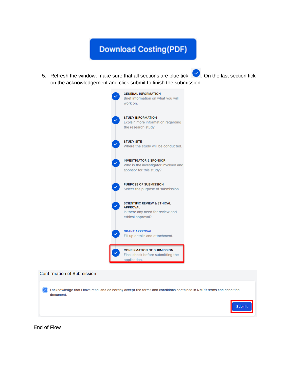## **Download Costing(PDF)**

5. Refresh the window, make sure that all sections are blue tick  $\blacktriangleright$  . On the last section tick on the acknowledgement and click submit to finish the submission





End of Flow

**Confirmation of Submission**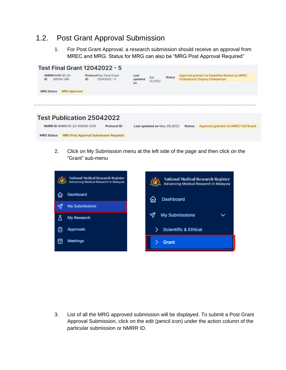### 1.2. Post Grant Approval Submission

1. For Post Grant Approval. a research submission should receive an approval from MREC and MRG. Status for MRG can also be "MRG Post Approval Required"



2. Click on My Submission menu at the left side of the page and then click on the "Grant" sub-menu



3. List of all the MRG approved submission will be displayed. To submit a Post Grant Approval Submission, click on the edit (pencil icon) under the action column of the particular submission or NMRR ID.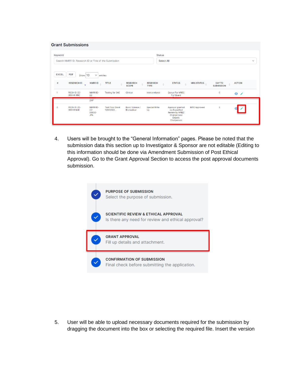|                | <b>Grant Submissions</b>                                          |                                                   |                                     |                                 |                                    |                                                                                                     |                     |                                    |                |  |
|----------------|-------------------------------------------------------------------|---------------------------------------------------|-------------------------------------|---------------------------------|------------------------------------|-----------------------------------------------------------------------------------------------------|---------------------|------------------------------------|----------------|--|
|                | Keyword<br>Search NMRR ID, Research ID or Title of the Submission |                                                   |                                     |                                 | <b>Status</b><br><b>Select All</b> |                                                                                                     |                     |                                    |                |  |
|                | <b>EXCEL</b><br><b>PDF</b><br>Show 10                             | $\checkmark$<br>entries                           |                                     |                                 |                                    |                                                                                                     |                     |                                    |                |  |
| #              | <b>RESEARCH ID</b><br>$\mathbf{v}$                                | <b>NMRRID</b>                                     | <b>TITLE</b><br>$\Rightarrow$       | <b>RESEARCH</b><br><b>SCOPE</b> | <b>RESEARCH</b><br><b>TYPE</b>     | <b>STATUS</b>                                                                                       | <b>MRG STATUS</b>   | <b>DAY TO</b><br><b>SUBMISSION</b> | <b>ACTION</b>  |  |
| 1              | RSCH ID-22-<br>00044-XNC                                          | NMRR ID-<br>$22 -$<br>0.000                       | <b>Testing for SAE</b>              | Clinical                        | Interventional                     | Queue For MREC<br><b>Full Board</b>                                                                 |                     | $\circ$                            | $\bullet$<br>◢ |  |
| $\overline{2}$ | RSCH ID-22-<br>00043-MJI                                          | 2NP<br>NMRR ID-<br>$22 -$<br>00030-<br><b>JPA</b> | <b>Test Final Grant</b><br>12042022 | Basic Science /<br>Biomedical   | <b>Special Write</b><br>Up         | Approval granted<br>via Expedited<br><b>Review by MREC</b><br>Chairperson/<br>Deputy<br>Chairperson | <b>MRG Approved</b> | $\overline{2}$                     |                |  |

4. Users will be brought to the "General Information" pages. Please be noted that the submission data this section up to Investigator & Sponsor are not editable (Editing to this information should be done via Amendment Submission of Post Ethical Approval). Go to the Grant Approval Section to access the post approval documents submission.



5. User will be able to upload necessary documents required for the submission by dragging the document into the box or selecting the required file. Insert the version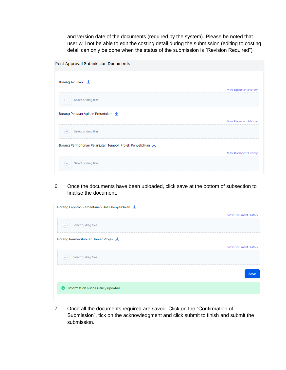and version date of the documents (required by the system). Please be noted that user will not be able to edit the costing detail during the submission (editing to costing detail can only be done when the status of the submission is "Revision Required")

| <b>Post Approval Submission Documents</b> |  |  |
|-------------------------------------------|--|--|
|-------------------------------------------|--|--|

| Borang Aku Janji 也                                        |                              |
|-----------------------------------------------------------|------------------------------|
|                                                           | <b>View Document History</b> |
| Select or drag files                                      |                              |
| Borang Pindaan Agihan Peruntukan                          |                              |
|                                                           | <b>View Document History</b> |
| Select or drag files<br>$^{+}$                            |                              |
| Borang Permohonan Pelanjutan Tempoh Projek Penyelidikan L |                              |
|                                                           | <b>View Document History</b> |
| Select or drag files                                      |                              |

6. Once the documents have been uploaded, click save at the bottom of subsection to finalise the document.

| <b>View Document History</b> |
|------------------------------|
|                              |
|                              |
| <b>View Document History</b> |
|                              |
| <b>Save</b>                  |
|                              |
|                              |

7. Once all the documents required are saved. Click on the "Confirmation of Submission", tick on the acknowledgment and click submit to finish and submit the submission.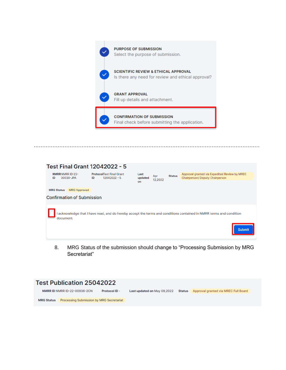

|                              |                                   |    | <b>Test Final Grant 12042022 - 5</b>              |                       |                |               |                                                                                                                   |
|------------------------------|-----------------------------------|----|---------------------------------------------------|-----------------------|----------------|---------------|-------------------------------------------------------------------------------------------------------------------|
| <b>NMRRNMRR ID-22-</b><br>ID | 00030-JPA                         | ID | <b>ProtocolTest Final Grant</b><br>$12042022 - 5$ | Last<br>updated<br>on | Apr<br>12,2022 | <b>Status</b> | Approval granted via Expedited Review by MREC<br>Chairperson/ Deputy Chairperson                                  |
| <b>MRG Status</b>            | <b>MRG Approved</b>               |    |                                                   |                       |                |               |                                                                                                                   |
|                              | <b>Confirmation of Submission</b> |    |                                                   |                       |                |               |                                                                                                                   |
| document.                    |                                   |    |                                                   |                       |                |               | acknowledge that I have read, and do hereby accept the terms and conditions contained in NMRR terms and condition |
|                              |                                   |    |                                                   |                       |                |               | <b>Submit</b>                                                                                                     |

……………………………………………………………………………………………………………………

8. MRG Status of the submission should change to "Processing Submission by MRG Secretariat"

#### **Test Publication 25042022** NMRR ID NMRR ID-22-00936-2CN Protocol ID -Last updated on May 09,2022 Status | Approval granted via MREC Full Board MRG Status Processing Submission by MRG Secretariat